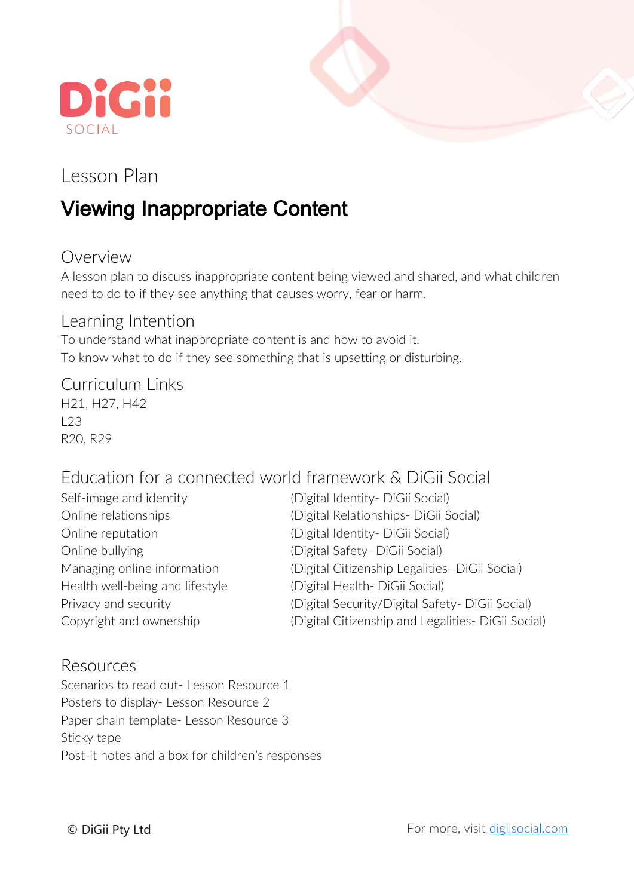



## Lesson Plan

# Viewing Inappropriate Content

## Overview

A lesson plan to discuss inappropriate content being viewed and shared, and what children need to do to if they see anything that causes worry, fear or harm.

#### Learning Intention

To understand what inappropriate content is and how to avoid it. To know what to do if they see something that is upsetting or disturbing.

#### Curriculum Links

H21, H27, H42  $123$ R20, R29

### Education for a connected world framework & DiGii Social

| Self-image and identity         | (Digital Identity - DiGii Social)                  |
|---------------------------------|----------------------------------------------------|
| Online relationships            | (Digital Relationships- DiGii Social)              |
| Online reputation               | (Digital Identity - DiGii Social)                  |
| Online bullying                 | (Digital Safety- DiGii Social)                     |
| Managing online information     | (Digital Citizenship Legalities- DiGii Social)     |
| Health well-being and lifestyle | (Digital Health-DiGii Social)                      |
| Privacy and security            | (Digital Security/Digital Safety- DiGii Social)    |
| Copyright and ownership         | (Digital Citizenship and Legalities- DiGii Social) |

#### Resources

Scenarios to read out- Lesson Resource 1 Posters to display- Lesson Resource 2 Paper chain template- Lesson Resource 3 Sticky tape Post-it notes and a box for children's responses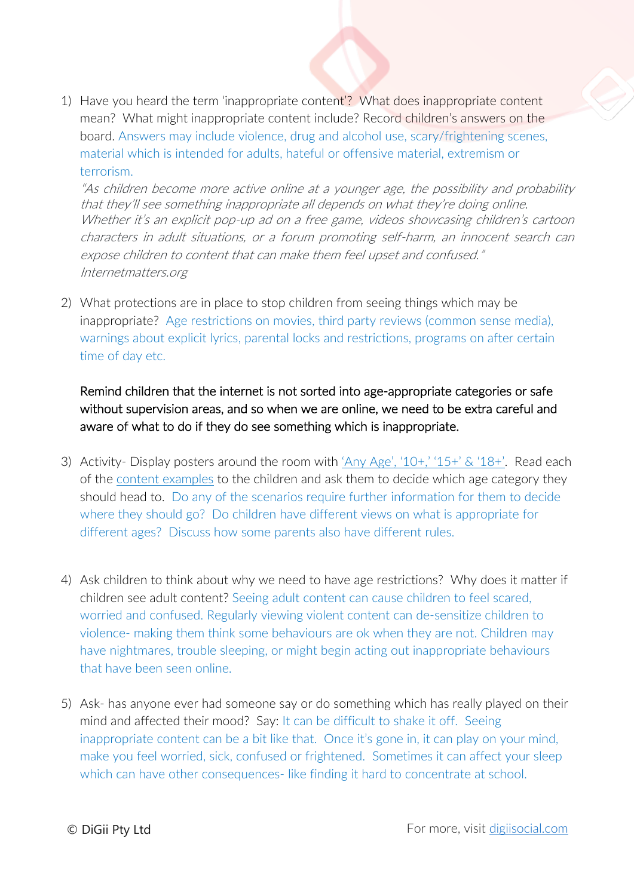1) Have you heard the term 'inappropriate content'? What does inappropriate content mean? What might inappropriate content include? Record children's answers on the board. Answers may include violence, drug and alcohol use, scary/frightening scenes, material which is intended for adults, hateful or offensive material, extremism or terrorism.

"As children become more active online at a younger age, the possibility and probability that they'll see something inappropriate all depends on what they're doing online. Whether it's an explicit pop-up ad on a free game, videos showcasing children's cartoon characters in adult situations, or a forum promoting self-harm, an innocent search can expose children to content that can make them feel upset and confused." Internetmatters.org

2) What protections are in place to stop children from seeing things which may be inappropriate? Age restrictions on movies, third party reviews (common sense media), warnings about explicit lyrics, parental locks and restrictions, programs on after certain time of day etc.

Remind children that the internet is not sorted into age-appropriate categories or safe without supervision areas, and so when we are online, we need to be extra careful and aware of what to do if they do see something which is inappropriate.

- 3) Activity- Display posters around the room with 'Any Age', '10+,' '15+' & '18+'. Read each of the content examples to the children and ask them to decide which age category they should head to. Do any of the scenarios require further information for them to decide where they should go? Do children have different views on what is appropriate for different ages? Discuss how some parents also have different rules.
- 4) Ask children to think about why we need to have age restrictions? Why does it matter if children see adult content? Seeing adult content can cause children to feel scared, worried and confused. Regularly viewing violent content can de-sensitize children to violence- making them think some behaviours are ok when they are not. Children may have nightmares, trouble sleeping, or might begin acting out inappropriate behaviours that have been seen online.
- 5) Ask- has anyone ever had someone say or do something which has really played on their mind and affected their mood? Say: It can be difficult to shake it off. Seeing inappropriate content can be a bit like that. Once it's gone in, it can play on your mind, make you feel worried, sick, confused or frightened. Sometimes it can affect your sleep which can have other consequences- like finding it hard to concentrate at school.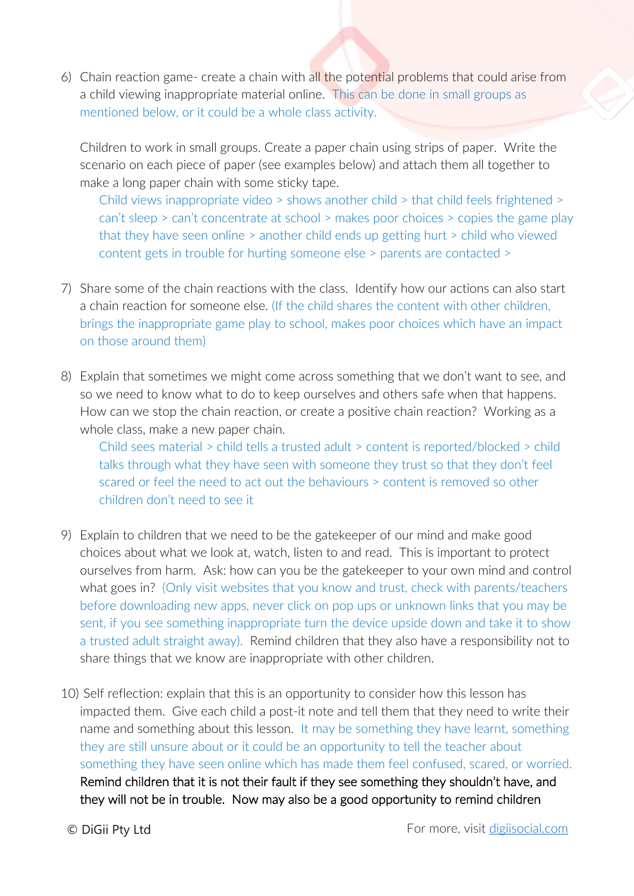6) Chain reaction game- create a chain with all the potential problems that could arise from a child viewing inappropriate material online. This can be done in small groups as mentioned below, or it could be a whole class activity.

Children to work in small groups. Create a paper chain using strips of paper. Write the scenario on each piece of paper (see examples below) and attach them all together to make a long paper chain with some sticky tape.

Child views inappropriate video > shows another child > that child feels frightened > can't sleep > can't concentrate at school > makes poor choices > copies the game play that they have seen online > another child ends up getting hurt > child who viewed content gets in trouble for hurting someone else > parents are contacted >

- 7) Share some of the chain reactions with the class. Identify how our actions can also start a chain reaction for someone else. (If the child shares the content with other children, brings the inappropriate game play to school, makes poor choices which have an impact on those around them)
- 8) Explain that sometimes we might come across something that we don't want to see, and so we need to know what to do to keep ourselves and others safe when that happens. How can we stop the chain reaction, or create a positive chain reaction? Working as a whole class, make a new paper chain.

Child sees material > child tells a trusted adult > content is reported/blocked > child talks through what they have seen with someone they trust so that they don't feel scared or feel the need to act out the behaviours > content is removed so other children don't need to see it

- 9) Explain to children that we need to be the gatekeeper of our mind and make good choices about what we look at, watch, listen to and read. This is important to protect ourselves from harm. Ask: how can you be the gatekeeper to your own mind and control what goes in? (Only visit websites that you know and trust, check with parents/teachers before downloading new apps, never click on pop ups or unknown links that you may be sent, if you see something inappropriate turn the device upside down and take it to show a trusted adult straight away). Remind children that they also have a responsibility not to share things that we know are inappropriate with other children.
- 10) Self reflection: explain that this is an opportunity to consider how this lesson has impacted them. Give each child a post-it note and tell them that they need to write their name and something about this lesson. It may be something they have learnt, something they are still unsure about or it could be an opportunity to tell the teacher about something they have seen online which has made them feel confused, scared, or worried. Remind children that it is not their fault if they see something they shouldn't have, and they will not be in trouble. Now may also be a good opportunity to remind children
-